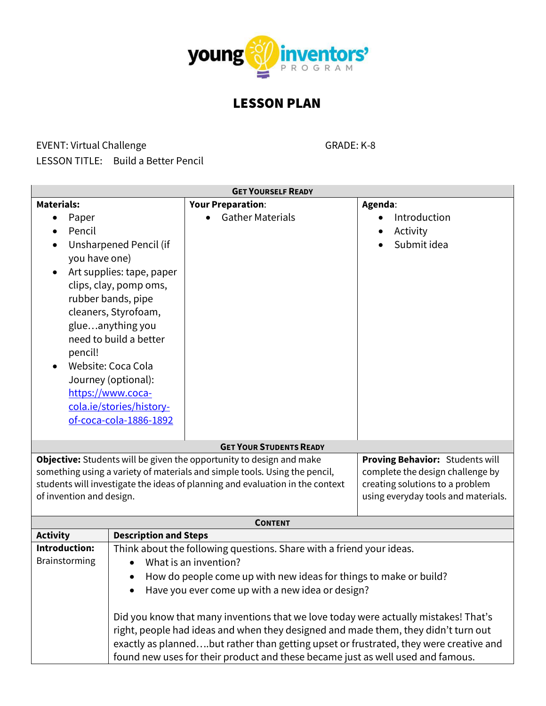

## LESSON PLAN

## EVENT: Virtual Challenge GRADE: K-8

| <b>GET YOURSELF READY</b>                                                                                                                                                                                                                                                                                                                                                                                                                                                                                                                                                                                                                                                                                                                                                                                                                                                                                                                                 |           |                          |                                  |
|-----------------------------------------------------------------------------------------------------------------------------------------------------------------------------------------------------------------------------------------------------------------------------------------------------------------------------------------------------------------------------------------------------------------------------------------------------------------------------------------------------------------------------------------------------------------------------------------------------------------------------------------------------------------------------------------------------------------------------------------------------------------------------------------------------------------------------------------------------------------------------------------------------------------------------------------------------------|-----------|--------------------------|----------------------------------|
| <b>Materials:</b>                                                                                                                                                                                                                                                                                                                                                                                                                                                                                                                                                                                                                                                                                                                                                                                                                                                                                                                                         |           | <b>Your Preparation:</b> | Agenda:                          |
| Paper                                                                                                                                                                                                                                                                                                                                                                                                                                                                                                                                                                                                                                                                                                                                                                                                                                                                                                                                                     |           | <b>Gather Materials</b>  | Introduction                     |
| Pencil                                                                                                                                                                                                                                                                                                                                                                                                                                                                                                                                                                                                                                                                                                                                                                                                                                                                                                                                                    |           |                          | Activity                         |
| Unsharpened Pencil (if                                                                                                                                                                                                                                                                                                                                                                                                                                                                                                                                                                                                                                                                                                                                                                                                                                                                                                                                    |           |                          | Submit idea                      |
| you have one)                                                                                                                                                                                                                                                                                                                                                                                                                                                                                                                                                                                                                                                                                                                                                                                                                                                                                                                                             |           |                          |                                  |
| Art supplies: tape, paper                                                                                                                                                                                                                                                                                                                                                                                                                                                                                                                                                                                                                                                                                                                                                                                                                                                                                                                                 |           |                          |                                  |
| clips, clay, pomp oms,                                                                                                                                                                                                                                                                                                                                                                                                                                                                                                                                                                                                                                                                                                                                                                                                                                                                                                                                    |           |                          |                                  |
| rubber bands, pipe                                                                                                                                                                                                                                                                                                                                                                                                                                                                                                                                                                                                                                                                                                                                                                                                                                                                                                                                        |           |                          |                                  |
| cleaners, Styrofoam,                                                                                                                                                                                                                                                                                                                                                                                                                                                                                                                                                                                                                                                                                                                                                                                                                                                                                                                                      |           |                          |                                  |
| glueanything you                                                                                                                                                                                                                                                                                                                                                                                                                                                                                                                                                                                                                                                                                                                                                                                                                                                                                                                                          |           |                          |                                  |
| need to build a better                                                                                                                                                                                                                                                                                                                                                                                                                                                                                                                                                                                                                                                                                                                                                                                                                                                                                                                                    |           |                          |                                  |
| pencil!                                                                                                                                                                                                                                                                                                                                                                                                                                                                                                                                                                                                                                                                                                                                                                                                                                                                                                                                                   |           |                          |                                  |
| Website: Coca Cola                                                                                                                                                                                                                                                                                                                                                                                                                                                                                                                                                                                                                                                                                                                                                                                                                                                                                                                                        |           |                          |                                  |
| Journey (optional):                                                                                                                                                                                                                                                                                                                                                                                                                                                                                                                                                                                                                                                                                                                                                                                                                                                                                                                                       |           |                          |                                  |
| https://www.coca-                                                                                                                                                                                                                                                                                                                                                                                                                                                                                                                                                                                                                                                                                                                                                                                                                                                                                                                                         |           |                          |                                  |
| cola.ie/stories/history-                                                                                                                                                                                                                                                                                                                                                                                                                                                                                                                                                                                                                                                                                                                                                                                                                                                                                                                                  |           |                          |                                  |
|                                                                                                                                                                                                                                                                                                                                                                                                                                                                                                                                                                                                                                                                                                                                                                                                                                                                                                                                                           |           |                          |                                  |
|                                                                                                                                                                                                                                                                                                                                                                                                                                                                                                                                                                                                                                                                                                                                                                                                                                                                                                                                                           |           |                          |                                  |
| <b>GET YOUR STUDENTS READY</b>                                                                                                                                                                                                                                                                                                                                                                                                                                                                                                                                                                                                                                                                                                                                                                                                                                                                                                                            |           |                          |                                  |
| Objective: Students will be given the opportunity to design and make                                                                                                                                                                                                                                                                                                                                                                                                                                                                                                                                                                                                                                                                                                                                                                                                                                                                                      |           |                          | Proving Behavior: Students will  |
|                                                                                                                                                                                                                                                                                                                                                                                                                                                                                                                                                                                                                                                                                                                                                                                                                                                                                                                                                           |           |                          | complete the design challenge by |
|                                                                                                                                                                                                                                                                                                                                                                                                                                                                                                                                                                                                                                                                                                                                                                                                                                                                                                                                                           |           |                          | creating solutions to a problem  |
|                                                                                                                                                                                                                                                                                                                                                                                                                                                                                                                                                                                                                                                                                                                                                                                                                                                                                                                                                           |           |                          |                                  |
|                                                                                                                                                                                                                                                                                                                                                                                                                                                                                                                                                                                                                                                                                                                                                                                                                                                                                                                                                           |           |                          |                                  |
|                                                                                                                                                                                                                                                                                                                                                                                                                                                                                                                                                                                                                                                                                                                                                                                                                                                                                                                                                           |           |                          |                                  |
|                                                                                                                                                                                                                                                                                                                                                                                                                                                                                                                                                                                                                                                                                                                                                                                                                                                                                                                                                           |           |                          |                                  |
|                                                                                                                                                                                                                                                                                                                                                                                                                                                                                                                                                                                                                                                                                                                                                                                                                                                                                                                                                           |           |                          |                                  |
|                                                                                                                                                                                                                                                                                                                                                                                                                                                                                                                                                                                                                                                                                                                                                                                                                                                                                                                                                           |           |                          |                                  |
|                                                                                                                                                                                                                                                                                                                                                                                                                                                                                                                                                                                                                                                                                                                                                                                                                                                                                                                                                           | $\bullet$ |                          |                                  |
|                                                                                                                                                                                                                                                                                                                                                                                                                                                                                                                                                                                                                                                                                                                                                                                                                                                                                                                                                           |           |                          |                                  |
|                                                                                                                                                                                                                                                                                                                                                                                                                                                                                                                                                                                                                                                                                                                                                                                                                                                                                                                                                           |           |                          |                                  |
|                                                                                                                                                                                                                                                                                                                                                                                                                                                                                                                                                                                                                                                                                                                                                                                                                                                                                                                                                           |           |                          |                                  |
|                                                                                                                                                                                                                                                                                                                                                                                                                                                                                                                                                                                                                                                                                                                                                                                                                                                                                                                                                           |           |                          |                                  |
|                                                                                                                                                                                                                                                                                                                                                                                                                                                                                                                                                                                                                                                                                                                                                                                                                                                                                                                                                           |           |                          |                                  |
| of-coca-cola-1886-1892<br>something using a variety of materials and simple tools. Using the pencil,<br>students will investigate the ideas of planning and evaluation in the context<br>of invention and design.<br>using everyday tools and materials.<br><b>CONTENT</b><br><b>Description and Steps</b><br><b>Activity</b><br><b>Introduction:</b><br>Think about the following questions. Share with a friend your ideas.<br>Brainstorming<br>What is an invention?<br>How do people come up with new ideas for things to make or build?<br>Have you ever come up with a new idea or design?<br>Did you know that many inventions that we love today were actually mistakes! That's<br>right, people had ideas and when they designed and made them, they didn't turn out<br>exactly as plannedbut rather than getting upset or frustrated, they were creative and<br>found new uses for their product and these became just as well used and famous. |           |                          |                                  |